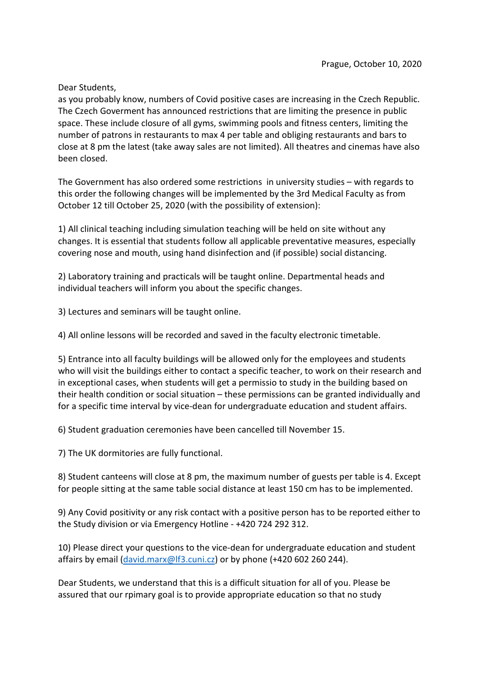Dear Students,

as you probably know, numbers of Covid positive cases are increasing in the Czech Republic. The Czech Goverment has announced restrictions that are limiting the presence in public space. These include closure of all gyms, swimming pools and fitness centers, limiting the number of patrons in restaurants to max 4 per table and obliging restaurants and bars to close at 8 pm the latest (take away sales are not limited). All theatres and cinemas have also been closed.

The Government has also ordered some restrictions in university studies – with regards to this order the following changes will be implemented by the 3rd Medical Faculty as from October 12 till October 25, 2020 (with the possibility of extension):

1) All clinical teaching including simulation teaching will be held on site without any changes. It is essential that students follow all applicable preventative measures, especially covering nose and mouth, using hand disinfection and (if possible) social distancing.

2) Laboratory training and practicals will be taught online. Departmental heads and individual teachers will inform you about the specific changes.

3) Lectures and seminars will be taught online.

4) All online lessons will be recorded and saved in the faculty electronic timetable.

5) Entrance into all faculty buildings will be allowed only for the employees and students who will visit the buildings either to contact a specific teacher, to work on their research and in exceptional cases, when students will get a permissio to study in the building based on their health condition or social situation – these permissions can be granted individually and for a specific time interval by vice-dean for undergraduate education and student affairs.

6) Student graduation ceremonies have been cancelled till November 15.

7) The UK dormitories are fully functional.

8) Student canteens will close at 8 pm, the maximum number of guests per table is 4. Except for people sitting at the same table social distance at least 150 cm has to be implemented.

9) Any Covid positivity or any risk contact with a positive person has to be reported either to the Study division or via Emergency Hotline - +420 724 292 312.

10) Please direct your questions to the vice-dean for undergraduate education and student affairs by email [\(david.marx@lf3.cuni.cz\)](mailto:david.marx@lf3.cuni.cz) or by phone (+420 602 260 244).

Dear Students, we understand that this is a difficult situation for all of you. Please be assured that our rpimary goal is to provide appropriate education so that no study